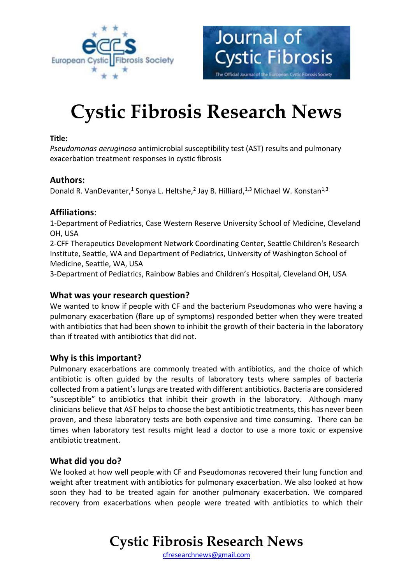



# **Cystic Fibrosis Research News**

#### **Title:**

*Pseudomonas aeruginosa* antimicrobial susceptibility test (AST) results and pulmonary exacerbation treatment responses in cystic fibrosis

### **Authors:**

Donald R. VanDevanter,<sup>1</sup> Sonya L. Heltshe,<sup>2</sup> Jay B. Hilliard,<sup>1,3</sup> Michael W. Konstan<sup>1,3</sup>

### **Affiliations**:

1-Department of Pediatrics, Case Western Reserve University School of Medicine, Cleveland OH, USA

2-CFF Therapeutics Development Network Coordinating Center, Seattle Children's Research Institute, Seattle, WA and Department of Pediatrics, University of Washington School of Medicine, Seattle, WA, USA

3-Department of Pediatrics, Rainbow Babies and Children's Hospital, Cleveland OH, USA

### **What was your research question?**

We wanted to know if people with CF and the bacterium Pseudomonas who were having a pulmonary exacerbation (flare up of symptoms) responded better when they were treated with antibiotics that had been shown to inhibit the growth of their bacteria in the laboratory than if treated with antibiotics that did not.

### **Why is this important?**

Pulmonary exacerbations are commonly treated with antibiotics, and the choice of which antibiotic is often guided by the results of laboratory tests where samples of bacteria collected from a patient's lungs are treated with different antibiotics. Bacteria are considered "susceptible" to antibiotics that inhibit their growth in the laboratory. Although many clinicians believe that AST helps to choose the best antibiotic treatments, this has never been proven, and these laboratory tests are both expensive and time consuming. There can be times when laboratory test results might lead a doctor to use a more toxic or expensive antibiotic treatment.

### **What did you do?**

We looked at how well people with CF and Pseudomonas recovered their lung function and weight after treatment with antibiotics for pulmonary exacerbation. We also looked at how soon they had to be treated again for another pulmonary exacerbation. We compared recovery from exacerbations when people were treated with antibiotics to which their

### **Cystic Fibrosis Research News**

[cfresearchnews@gmail.com](mailto:cfresearchnews@gmail.com)